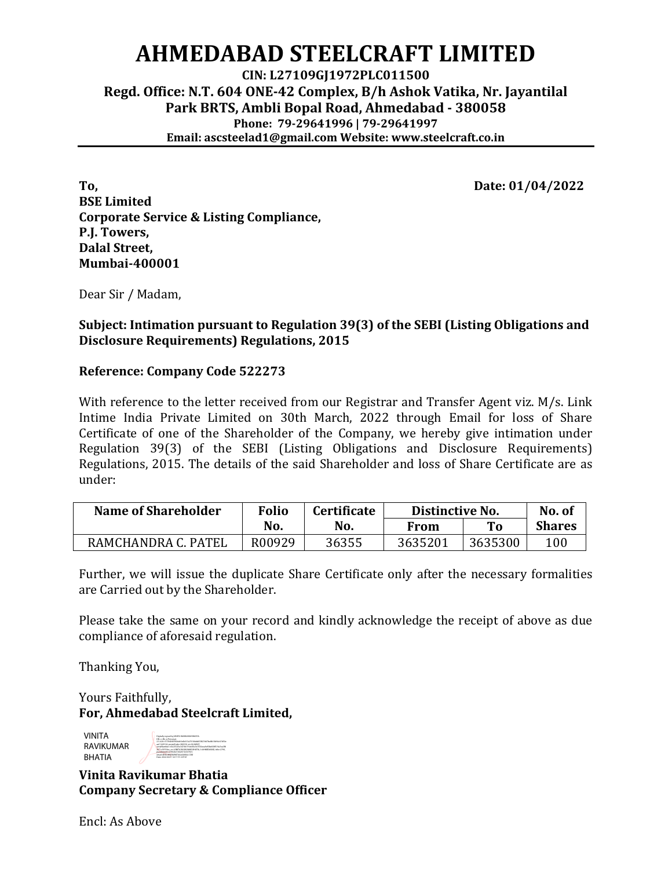## **AHMEDABAD STEELCRAFT LIMITED**

**CIN: L27109GJ1972PLC011500 Regd. Office: N.T. 604 ONE-42 Complex, B/h Ashok Vatika, Nr. Jayantilal Park BRTS, Ambli Bopal Road, Ahmedabad - 380058 Phone: 79-29641996 | 79-29641997 Email: ascsteelad1@gmail.com Website: www.steelcraft.co.in**

**To, Date: 01/04/2022 BSE Limited Corporate Service & Listing Compliance, P.J. Towers, Dalal Street, Mumbai-400001**

Dear Sir / Madam,

**Subject: Intimation pursuant to Regulation 39(3) of the SEBI (Listing Obligations and Disclosure Requirements) Regulations, 2015**

## **Reference: Company Code 522273**

With reference to the letter received from our Registrar and Transfer Agent viz. M/s. Link Intime India Private Limited on 30th March, 2022 through Email for loss of Share Certificate of one of the Shareholder of the Company, we hereby give intimation under Regulation 39(3) of the SEBI (Listing Obligations and Disclosure Requirements) Regulations, 2015. The details of the said Shareholder and loss of Share Certificate are as under:

| Name of Shareholder | <b>Folio</b> | <b>Certificate</b> | Distinctive No. |         | No. of        |
|---------------------|--------------|--------------------|-----------------|---------|---------------|
|                     | No.          | No.                | From            | то      | <b>Shares</b> |
| RAMCHANDRA C. PATEL | R00929       | 36355              | 3635201         | 3635300 | 100           |

Further, we will issue the duplicate Share Certificate only after the necessary formalities are Carried out by the Shareholder.

Please take the same on your record and kindly acknowledge the receipt of above as due compliance of aforesaid regulation.

Thanking You,

Yours Faithfully, **For, Ahmedabad Steelcraft Limited,**

VINITA RAVIKUMAR BHATIA



**Vinita Ravikumar Bhatia Company Secretary & Compliance Officer**

Encl: As Above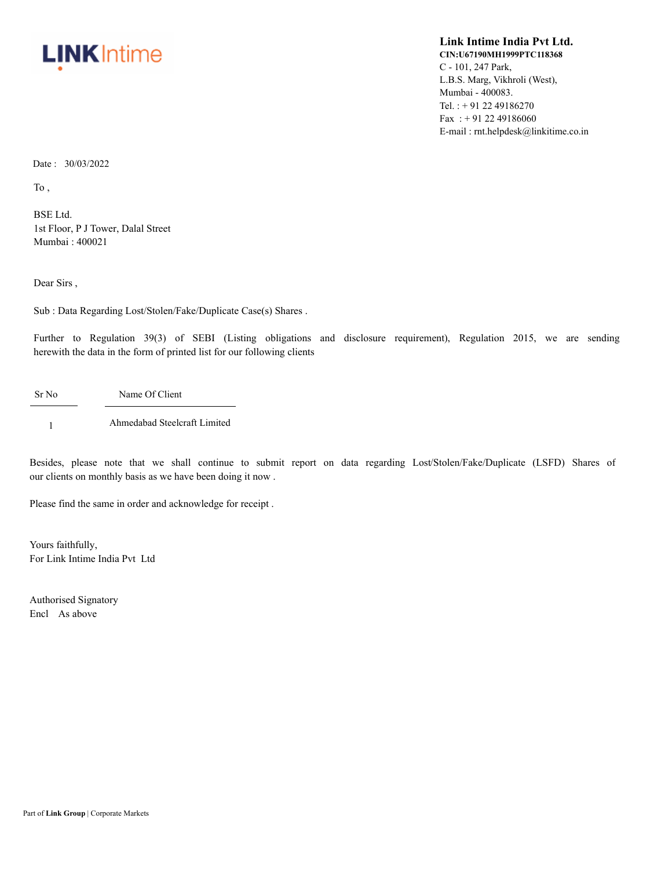

## **Link Intime India Pvt Ltd. CIN:U67190MH1999PTC118368** C - 101, 247 Park, L.B.S. Marg, Vikhroli (West), Mumbai - 400083. Tel. : + 91 22 49186270 Fax: +91 22 49186060 E-mail : rnt.helpdesk@linkitime.co.in

Date : 30/03/2022

To ,

BSE Ltd. 1st Floor, P J Tower, Dalal Street Mumbai : 400021

Dear Sirs ,

Sub : Data Regarding Lost/Stolen/Fake/Duplicate Case(s) Shares .

Further to Regulation 39(3) of SEBI (Listing obligations and disclosure requirement), Regulation 2015, we are sending herewith the data in the form of printed list for our following clients

Sr No Name Of Client

1 Ahmedabad Steelcraft Limited

Besides, please note that we shall continue to submit report on data regarding Lost/Stolen/Fake/Duplicate (LSFD) Shares of our clients on monthly basis as we have been doing it now .

Please find the same in order and acknowledge for receipt .

Yours faithfully, For Link Intime India Pvt Ltd

Authorised Signatory Encl As above